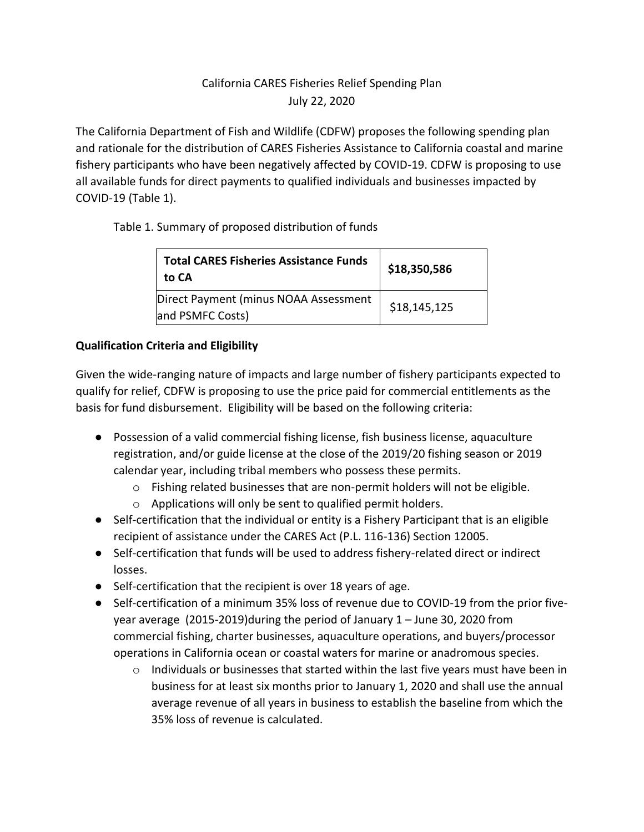# California CARES Fisheries Relief Spending Plan July 22, 2020

The California Department of Fish and Wildlife (CDFW) proposes the following spending plan and rationale for the distribution of CARES Fisheries Assistance to California coastal and marine fishery participants who have been negatively affected by COVID-19. CDFW is proposing to use all available funds for direct payments to qualified individuals and businesses impacted by COVID-19 (Table 1).

### Table 1. Summary of proposed distribution of funds

| <b>Total CARES Fisheries Assistance Funds</b><br>to CA    | \$18,350,586 |
|-----------------------------------------------------------|--------------|
| Direct Payment (minus NOAA Assessment<br>and PSMFC Costs) | \$18,145,125 |

### **Qualification Criteria and Eligibility**

Given the wide-ranging nature of impacts and large number of fishery participants expected to qualify for relief, CDFW is proposing to use the price paid for commercial entitlements as the basis for fund disbursement. Eligibility will be based on the following criteria:

- Possession of a valid commercial fishing license, fish business license, aquaculture registration, and/or guide license at the close of the 2019/20 fishing season or 2019 calendar year, including tribal members who possess these permits.
	- $\circ$  Fishing related businesses that are non-permit holders will not be eligible.
	- o Applications will only be sent to qualified permit holders.
- Self-certification that the individual or entity is a Fishery Participant that is an eligible recipient of assistance under the CARES Act (P.L. 116-136) Section 12005.
- Self-certification that funds will be used to address fishery-related direct or indirect losses.
- Self-certification that the recipient is over 18 years of age.
- Self-certification of a minimum 35% loss of revenue due to COVID-19 from the prior fiveyear average (2015-2019)during the period of January 1 – June 30, 2020 from commercial fishing, charter businesses, aquaculture operations, and buyers/processor operations in California ocean or coastal waters for marine or anadromous species.
	- o Individuals or businesses that started within the last five years must have been in business for at least six months prior to January 1, 2020 and shall use the annual average revenue of all years in business to establish the baseline from which the 35% loss of revenue is calculated.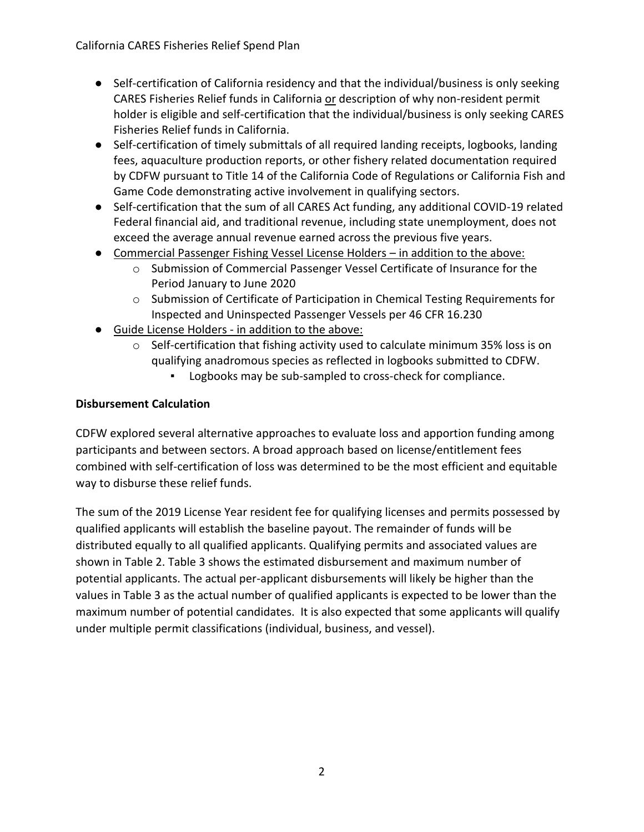- Self-certification of California residency and that the individual/business is only seeking CARES Fisheries Relief funds in California or description of why non-resident permit holder is eligible and self-certification that the individual/business is only seeking CARES Fisheries Relief funds in California.
- Self-certification of timely submittals of all required landing receipts, logbooks, landing fees, aquaculture production reports, or other fishery related documentation required by CDFW pursuant to Title 14 of the California Code of Regulations or California Fish and Game Code demonstrating active involvement in qualifying sectors.
- Self-certification that the sum of all CARES Act funding, any additional COVID-19 related Federal financial aid, and traditional revenue, including state unemployment, does not exceed the average annual revenue earned across the previous five years.
- Commercial Passenger Fishing Vessel License Holders in addition to the above:
	- o Submission of Commercial Passenger Vessel Certificate of Insurance for the Period January to June 2020
	- $\circ$  Submission of Certificate of Participation in Chemical Testing Requirements for Inspected and Uninspected Passenger Vessels per 46 CFR 16.230
- Guide License Holders in addition to the above:
	- o Self-certification that fishing activity used to calculate minimum 35% loss is on qualifying anadromous species as reflected in logbooks submitted to CDFW.
		- Logbooks may be sub-sampled to cross-check for compliance.

## **Disbursement Calculation**

CDFW explored several alternative approaches to evaluate loss and apportion funding among participants and between sectors. A broad approach based on license/entitlement fees combined with self-certification of loss was determined to be the most efficient and equitable way to disburse these relief funds.

The sum of the 2019 License Year resident fee for qualifying licenses and permits possessed by qualified applicants will establish the baseline payout. The remainder of funds will be distributed equally to all qualified applicants. Qualifying permits and associated values are shown in Table 2. Table 3 shows the estimated disbursement and maximum number of potential applicants. The actual per-applicant disbursements will likely be higher than the values in Table 3 as the actual number of qualified applicants is expected to be lower than the maximum number of potential candidates. It is also expected that some applicants will qualify under multiple permit classifications (individual, business, and vessel).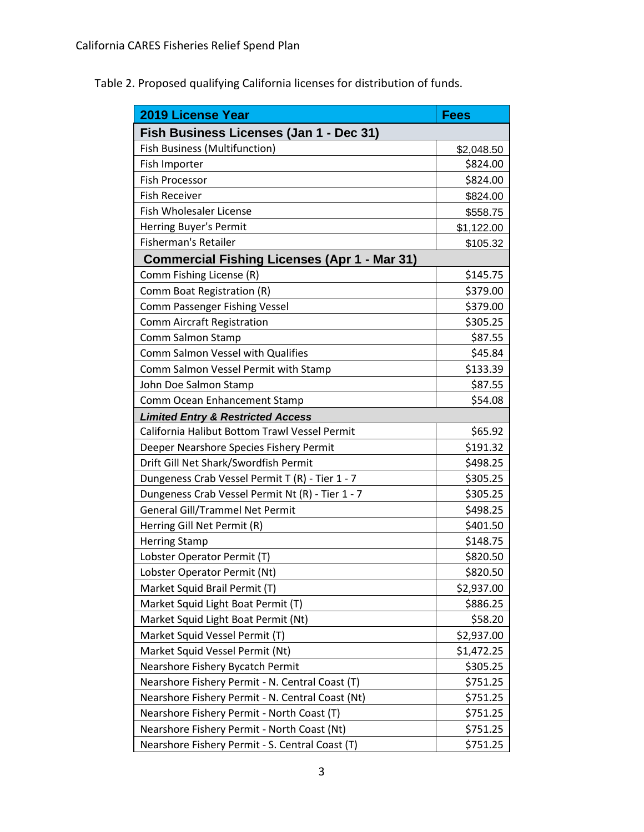Table 2. Proposed qualifying California licenses for distribution of funds.

| <b>2019 License Year</b>                            | <b>Fees</b> |  |
|-----------------------------------------------------|-------------|--|
| Fish Business Licenses (Jan 1 - Dec 31)             |             |  |
| <b>Fish Business (Multifunction)</b>                | \$2,048.50  |  |
| Fish Importer                                       | \$824.00    |  |
| <b>Fish Processor</b>                               | \$824.00    |  |
| <b>Fish Receiver</b>                                | \$824.00    |  |
| <b>Fish Wholesaler License</b>                      | \$558.75    |  |
| Herring Buyer's Permit                              | \$1,122.00  |  |
| <b>Fisherman's Retailer</b>                         | \$105.32    |  |
| <b>Commercial Fishing Licenses (Apr 1 - Mar 31)</b> |             |  |
| Comm Fishing License (R)                            | \$145.75    |  |
| Comm Boat Registration (R)                          | \$379.00    |  |
| Comm Passenger Fishing Vessel                       | \$379.00    |  |
| <b>Comm Aircraft Registration</b>                   | \$305.25    |  |
| Comm Salmon Stamp                                   | \$87.55     |  |
| Comm Salmon Vessel with Qualifies                   | \$45.84     |  |
| Comm Salmon Vessel Permit with Stamp                | \$133.39    |  |
| John Doe Salmon Stamp                               | \$87.55     |  |
| Comm Ocean Enhancement Stamp                        | \$54.08     |  |
| <b>Limited Entry &amp; Restricted Access</b>        |             |  |
| California Halibut Bottom Trawl Vessel Permit       | \$65.92     |  |
| Deeper Nearshore Species Fishery Permit             | \$191.32    |  |
| Drift Gill Net Shark/Swordfish Permit               | \$498.25    |  |
| Dungeness Crab Vessel Permit T (R) - Tier 1 - 7     | \$305.25    |  |
| Dungeness Crab Vessel Permit Nt (R) - Tier 1 - 7    | \$305.25    |  |
| <b>General Gill/Trammel Net Permit</b>              | \$498.25    |  |
| Herring Gill Net Permit (R)                         | \$401.50    |  |
| <b>Herring Stamp</b>                                | \$148.75    |  |
| Lobster Operator Permit (T)                         | \$820.50    |  |
| Lobster Operator Permit (Nt)                        | \$820.50    |  |
| Market Squid Brail Permit (T)                       | \$2,937.00  |  |
| Market Squid Light Boat Permit (T)                  | \$886.25    |  |
| Market Squid Light Boat Permit (Nt)                 | \$58.20     |  |
| Market Squid Vessel Permit (T)                      | \$2,937.00  |  |
| Market Squid Vessel Permit (Nt)                     | \$1,472.25  |  |
| Nearshore Fishery Bycatch Permit                    | \$305.25    |  |
| Nearshore Fishery Permit - N. Central Coast (T)     | \$751.25    |  |
| Nearshore Fishery Permit - N. Central Coast (Nt)    | \$751.25    |  |
| Nearshore Fishery Permit - North Coast (T)          | \$751.25    |  |
| Nearshore Fishery Permit - North Coast (Nt)         | \$751.25    |  |
| Nearshore Fishery Permit - S. Central Coast (T)     | \$751.25    |  |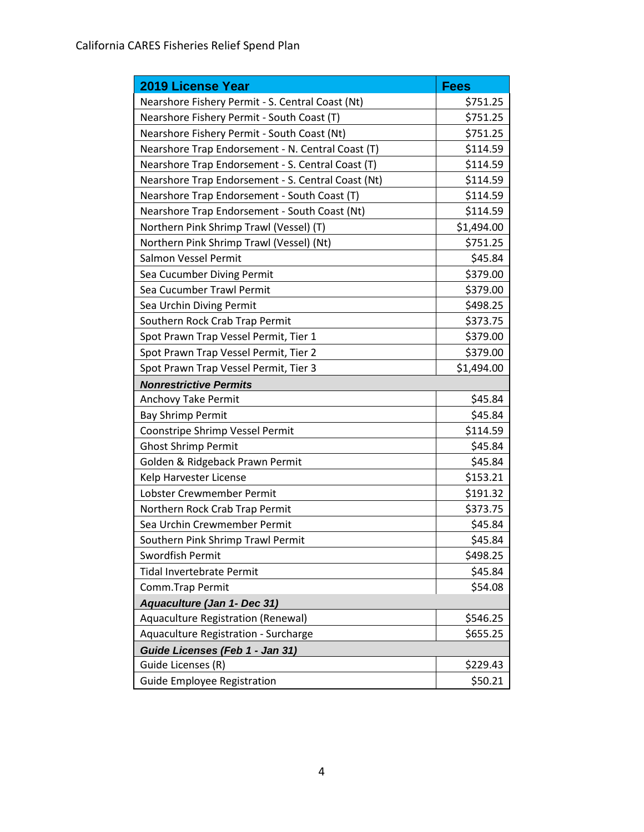| <b>2019 License Year</b>                           | <b>Fees</b> |  |
|----------------------------------------------------|-------------|--|
| Nearshore Fishery Permit - S. Central Coast (Nt)   | \$751.25    |  |
| Nearshore Fishery Permit - South Coast (T)         | \$751.25    |  |
| Nearshore Fishery Permit - South Coast (Nt)        | \$751.25    |  |
| Nearshore Trap Endorsement - N. Central Coast (T)  | \$114.59    |  |
| Nearshore Trap Endorsement - S. Central Coast (T)  | \$114.59    |  |
| Nearshore Trap Endorsement - S. Central Coast (Nt) | \$114.59    |  |
| Nearshore Trap Endorsement - South Coast (T)       | \$114.59    |  |
| Nearshore Trap Endorsement - South Coast (Nt)      | \$114.59    |  |
| Northern Pink Shrimp Trawl (Vessel) (T)            | \$1,494.00  |  |
| Northern Pink Shrimp Trawl (Vessel) (Nt)           | \$751.25    |  |
| Salmon Vessel Permit                               | \$45.84     |  |
| Sea Cucumber Diving Permit                         | \$379.00    |  |
| Sea Cucumber Trawl Permit                          | \$379.00    |  |
| Sea Urchin Diving Permit                           | \$498.25    |  |
| Southern Rock Crab Trap Permit                     | \$373.75    |  |
| Spot Prawn Trap Vessel Permit, Tier 1              | \$379.00    |  |
| Spot Prawn Trap Vessel Permit, Tier 2              | \$379.00    |  |
| Spot Prawn Trap Vessel Permit, Tier 3              | \$1,494.00  |  |
| <b>Nonrestrictive Permits</b>                      |             |  |
| Anchovy Take Permit                                | \$45.84     |  |
| <b>Bay Shrimp Permit</b>                           | \$45.84     |  |
| Coonstripe Shrimp Vessel Permit                    | \$114.59    |  |
| <b>Ghost Shrimp Permit</b>                         | \$45.84     |  |
| Golden & Ridgeback Prawn Permit                    | \$45.84     |  |
| Kelp Harvester License                             | \$153.21    |  |
| Lobster Crewmember Permit                          | \$191.32    |  |
| Northern Rock Crab Trap Permit                     | \$373.75    |  |
| Sea Urchin Crewmember Permit                       | \$45.84     |  |
| Southern Pink Shrimp Trawl Permit                  | \$45.84     |  |
| Swordfish Permit                                   | \$498.25    |  |
| <b>Tidal Invertebrate Permit</b>                   | \$45.84     |  |
| Comm.Trap Permit                                   | \$54.08     |  |
| Aquaculture (Jan 1- Dec 31)                        |             |  |
| Aquaculture Registration (Renewal)                 | \$546.25    |  |
| Aquaculture Registration - Surcharge               | \$655.25    |  |
| Guide Licenses (Feb 1 - Jan 31)                    |             |  |
| Guide Licenses (R)                                 | \$229.43    |  |
| Guide Employee Registration                        | \$50.21     |  |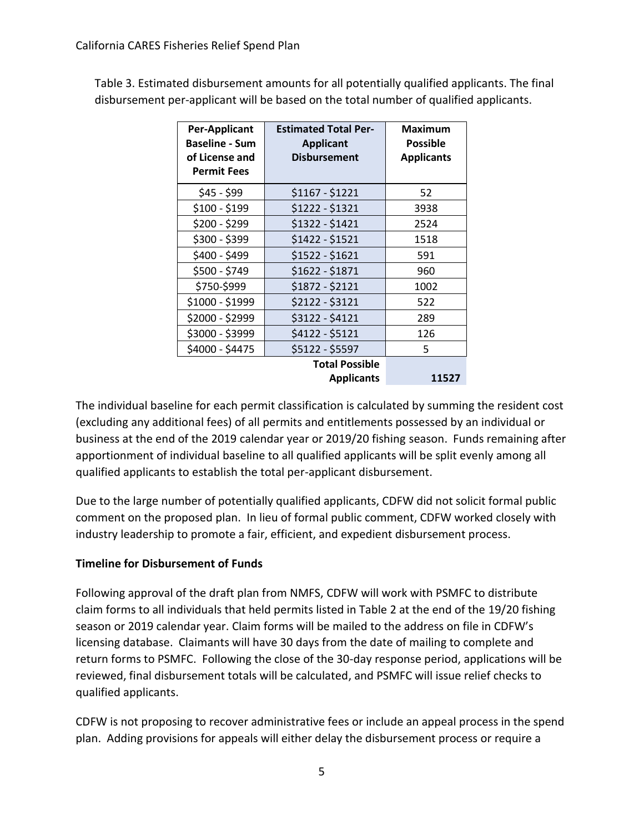Table 3. Estimated disbursement amounts for all potentially qualified applicants. The final disbursement per-applicant will be based on the total number of qualified applicants.

| Per-Applicant<br><b>Baseline - Sum</b><br>of License and<br><b>Permit Fees</b> | <b>Estimated Total Per-</b><br><b>Applicant</b><br><b>Disbursement</b> | <b>Maximum</b><br><b>Possible</b><br><b>Applicants</b> |
|--------------------------------------------------------------------------------|------------------------------------------------------------------------|--------------------------------------------------------|
| $$45 - $99$                                                                    | $$1167 - $1221$                                                        | 52                                                     |
| $$100 - $199$                                                                  | \$1222 - \$1321                                                        | 3938                                                   |
| \$200 - \$299                                                                  | \$1322 - \$1421                                                        | 2524                                                   |
| \$300 - \$399                                                                  | \$1422 - \$1521                                                        | 1518                                                   |
| \$400 - \$499                                                                  | \$1522 - \$1621                                                        | 591                                                    |
| \$500 - \$749                                                                  | \$1622 - \$1871                                                        | 960                                                    |
| \$750-\$999                                                                    | \$1872 - \$2121                                                        | 1002                                                   |
| \$1000 - \$1999                                                                | \$2122 - \$3121                                                        | 522                                                    |
| \$2000 - \$2999                                                                | \$3122 - \$4121                                                        | 289                                                    |
| \$3000 - \$3999                                                                | \$4122 - \$5121                                                        | 126                                                    |
| \$4000 - \$4475                                                                | \$5122 - \$5597                                                        | 5                                                      |
|                                                                                | <b>Total Possible</b>                                                  |                                                        |
|                                                                                | <b>Applicants</b>                                                      | 11527                                                  |

The individual baseline for each permit classification is calculated by summing the resident cost (excluding any additional fees) of all permits and entitlements possessed by an individual or business at the end of the 2019 calendar year or 2019/20 fishing season. Funds remaining after apportionment of individual baseline to all qualified applicants will be split evenly among all qualified applicants to establish the total per-applicant disbursement.

Due to the large number of potentially qualified applicants, CDFW did not solicit formal public comment on the proposed plan. In lieu of formal public comment, CDFW worked closely with industry leadership to promote a fair, efficient, and expedient disbursement process.

#### **Timeline for Disbursement of Funds**

Following approval of the draft plan from NMFS, CDFW will work with PSMFC to distribute claim forms to all individuals that held permits listed in Table 2 at the end of the 19/20 fishing season or 2019 calendar year. Claim forms will be mailed to the address on file in CDFW's licensing database. Claimants will have 30 days from the date of mailing to complete and return forms to PSMFC. Following the close of the 30-day response period, applications will be reviewed, final disbursement totals will be calculated, and PSMFC will issue relief checks to qualified applicants.

CDFW is not proposing to recover administrative fees or include an appeal process in the spend plan. Adding provisions for appeals will either delay the disbursement process or require a